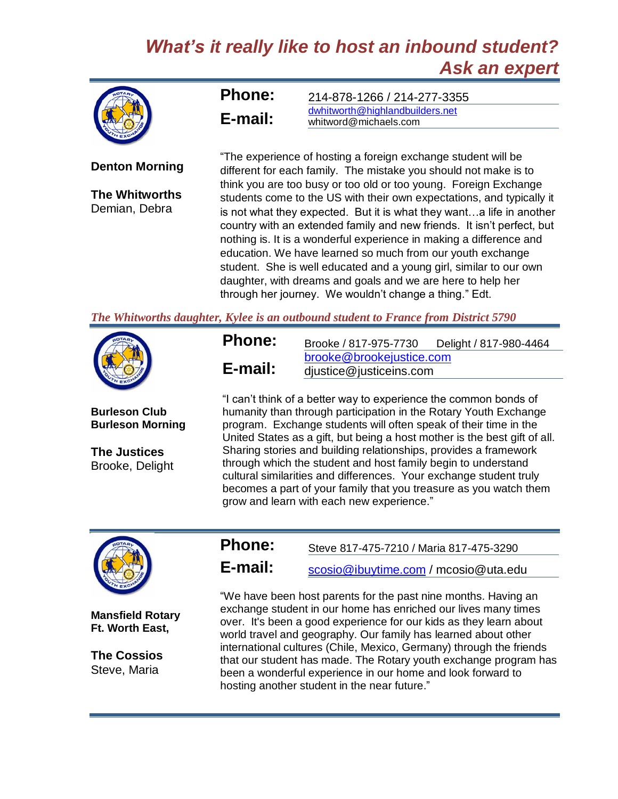## *What's it really like to host an inbound student? Ask an expert*



**Denton Morning**

**The Whitworths** Demian, Debra

| <b>Phone:</b> | 214-878-1266 / 214-277-3355     |  |
|---------------|---------------------------------|--|
| E-mail:       | dwhitworth@highlandbuilders.net |  |
|               | whitword@michaels.com           |  |

"The experience of hosting a foreign exchange student will be different for each family. The mistake you should not make is to think you are too busy or too old or too young. Foreign Exchange students come to the US with their own expectations, and typically it is not what they expected. But it is what they want…a life in another country with an extended family and new friends. It isn't perfect, but nothing is. It is a wonderful experience in making a difference and education. We have learned so much from our youth exchange student. She is well educated and a young girl, similar to our own daughter, with dreams and goals and we are here to help her through her journey. We wouldn't change a thing." Edt.

*The Whitworths daughter, Kylee is an outbound student to France from District 5790*



**Burleson Club Burleson Morning**

**The Justices** Brooke, Delight

| <b>Phone:</b> | Brooke / 817-975-7730                               | Delight / 817-980-4464 |
|---------------|-----------------------------------------------------|------------------------|
|               | brooke@brookejustice.com<br>djustice@justiceins.com |                        |
| E-mail:       |                                                     |                        |

"I can't think of a better way to experience the common bonds of humanity than through participation in the Rotary Youth Exchange program. Exchange students will often speak of their time in the United States as a gift, but being a host mother is the best gift of all. Sharing stories and building relationships, provides a framework through which the student and host family begin to understand cultural similarities and differences. Your exchange student truly becomes a part of your family that you treasure as you watch them grow and learn with each new experience."



**Mansfield Rotary Ft. Worth East,**

**The Cossios** Steve, Maria

**Phone:** Steve 817-475-7210 / Maria 817-475-3290

**E-mail:** [scosio@ibuytime.com](mailto:scosio@ibuytime.com) / mcosio@uta.edu

"We have been host parents for the past nine months. Having an exchange student in our home has enriched our lives many times over. It's been a good experience for our kids as they learn about world travel and geography. Our family has learned about other international cultures (Chile, Mexico, Germany) through the friends that our student has made. The Rotary youth exchange program has been a wonderful experience in our home and look forward to hosting another student in the near future."